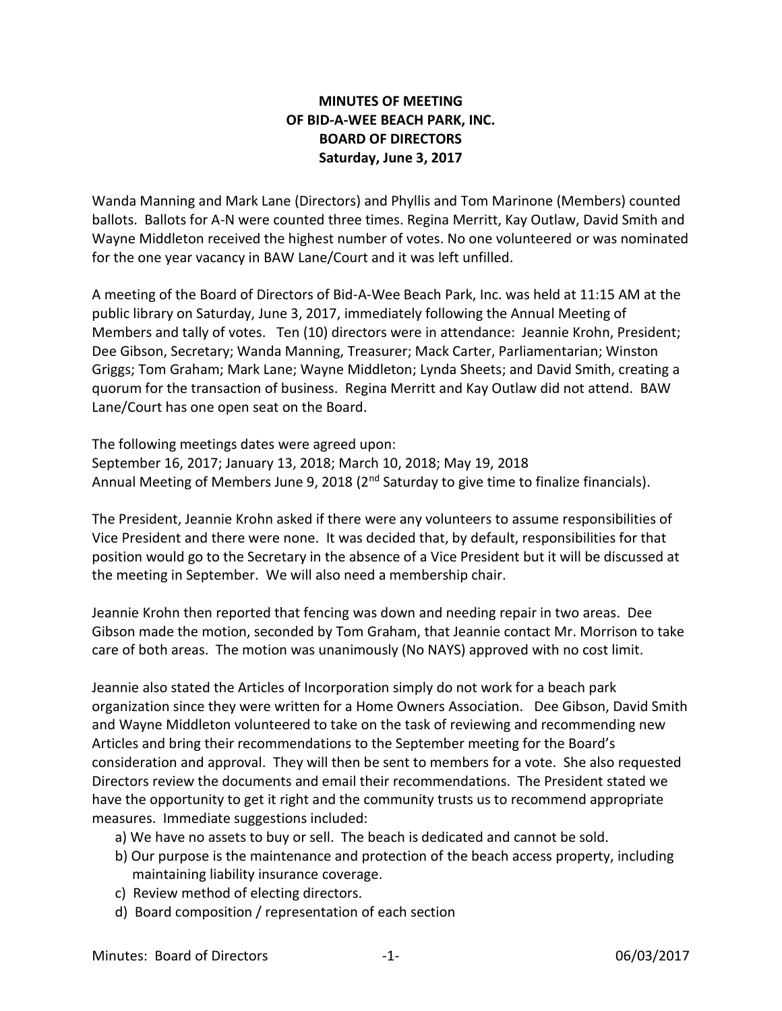## **MINUTES OF MEETING OF BID-A-WEE BEACH PARK, INC. BOARD OF DIRECTORS Saturday, June 3, 2017**

Wanda Manning and Mark Lane (Directors) and Phyllis and Tom Marinone (Members) counted ballots. Ballots for A-N were counted three times. Regina Merritt, Kay Outlaw, David Smith and Wayne Middleton received the highest number of votes. No one volunteered or was nominated for the one year vacancy in BAW Lane/Court and it was left unfilled.

A meeting of the Board of Directors of Bid-A-Wee Beach Park, Inc. was held at 11:15 AM at the public library on Saturday, June 3, 2017, immediately following the Annual Meeting of Members and tally of votes. Ten (10) directors were in attendance: Jeannie Krohn, President; Dee Gibson, Secretary; Wanda Manning, Treasurer; Mack Carter, Parliamentarian; Winston Griggs; Tom Graham; Mark Lane; Wayne Middleton; Lynda Sheets; and David Smith, creating a quorum for the transaction of business. Regina Merritt and Kay Outlaw did not attend. BAW Lane/Court has one open seat on the Board.

The following meetings dates were agreed upon: September 16, 2017; January 13, 2018; March 10, 2018; May 19, 2018 Annual Meeting of Members June 9, 2018 (2<sup>nd</sup> Saturday to give time to finalize financials).

The President, Jeannie Krohn asked if there were any volunteers to assume responsibilities of Vice President and there were none. It was decided that, by default, responsibilities for that position would go to the Secretary in the absence of a Vice President but it will be discussed at the meeting in September. We will also need a membership chair.

Jeannie Krohn then reported that fencing was down and needing repair in two areas. Dee Gibson made the motion, seconded by Tom Graham, that Jeannie contact Mr. Morrison to take care of both areas. The motion was unanimously (No NAYS) approved with no cost limit.

Jeannie also stated the Articles of Incorporation simply do not work for a beach park organization since they were written for a Home Owners Association. Dee Gibson, David Smith and Wayne Middleton volunteered to take on the task of reviewing and recommending new Articles and bring their recommendations to the September meeting for the Board's consideration and approval. They will then be sent to members for a vote. She also requested Directors review the documents and email their recommendations. The President stated we have the opportunity to get it right and the community trusts us to recommend appropriate measures. Immediate suggestions included:

- a) We have no assets to buy or sell. The beach is dedicated and cannot be sold.
- b) Our purpose is the maintenance and protection of the beach access property, including maintaining liability insurance coverage.
- c) Review method of electing directors.
- d) Board composition / representation of each section